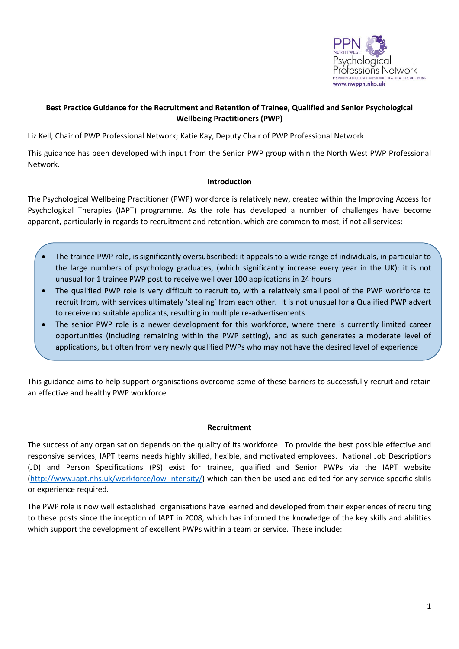

# **Best Practice Guidance for the Recruitment and Retention of Trainee, Qualified and Senior Psychological Wellbeing Practitioners (PWP)**

Liz Kell, Chair of PWP Professional Network; Katie Kay, Deputy Chair of PWP Professional Network

This guidance has been developed with input from the Senior PWP group within the North West PWP Professional Network.

## **Introduction**

The Psychological Wellbeing Practitioner (PWP) workforce is relatively new, created within the Improving Access for Psychological Therapies (IAPT) programme. As the role has developed a number of challenges have become apparent, particularly in regards to recruitment and retention, which are common to most, if not all services:

- The trainee PWP role, is significantly oversubscribed: it appeals to a wide range of individuals, in particular to the large numbers of psychology graduates, (which significantly increase every year in the UK): it is not unusual for 1 trainee PWP post to receive well over 100 applications in 24 hours
- The qualified PWP role is very difficult to recruit to, with a relatively small pool of the PWP workforce to recruit from, with services ultimately 'stealing' from each other. It is not unusual for a Qualified PWP advert to receive no suitable applicants, resulting in multiple re-advertisements
- The senior PWP role is a newer development for this workforce, where there is currently limited career opportunities (including remaining within the PWP setting), and as such generates a moderate level of applications, but often from very newly qualified PWPs who may not have the desired level of experience

This guidance aims to help support organisations overcome some of these barriers to successfully recruit and retain an effective and healthy PWP workforce.

## **Recruitment**

The success of any organisation depends on the quality of its workforce. To provide the best possible effective and responsive services, IAPT teams needs highly skilled, flexible, and motivated employees. National Job Descriptions (JD) and Person Specifications (PS) exist for trainee, qualified and Senior PWPs via the IAPT website [\(http://www.iapt.nhs.uk/workforce/low-intensity/\)](http://www.iapt.nhs.uk/workforce/low-intensity/) which can then be used and edited for any service specific skills or experience required.

The PWP role is now well established: organisations have learned and developed from their experiences of recruiting to these posts since the inception of IAPT in 2008, which has informed the knowledge of the key skills and abilities which support the development of excellent PWPs within a team or service. These include: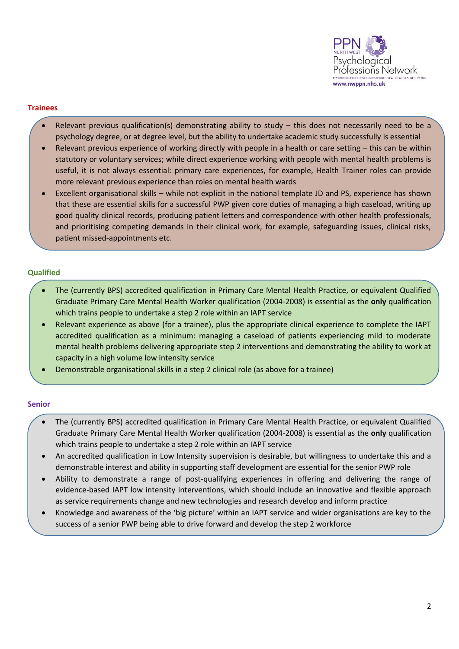

## **Trainees**

- Relevant previous qualification(s) demonstrating ability to study this does not necessarily need to be a psychology degree, or at degree level, but the ability to undertake academic study successfully is essential
- Relevant previous experience of working directly with people in a health or care setting this can be within statutory or voluntary services; while direct experience working with people with mental health problems is useful, it is not always essential: primary care experiences, for example, Health Trainer roles can provide more relevant previous experience than roles on mental health wards
- Excellent organisational skills while not explicit in the national template JD and PS, experience has shown that these are essential skills for a successful PWP given core duties of managing a high caseload, writing up good quality clinical records, producing patient letters and correspondence with other health professionals, and prioritising competing demands in their clinical work, for example, safeguarding issues, clinical risks, patient missed-appointments etc.

## **Qualified**

- The (currently BPS) accredited qualification in Primary Care Mental Health Practice, or equivalent Qualified Graduate Primary Care Mental Health Worker qualification (2004-2008) is essential as the **only** qualification which trains people to undertake a step 2 role within an IAPT service
- Relevant experience as above (for a trainee), plus the appropriate clinical experience to complete the IAPT accredited qualification as a minimum: managing a caseload of patients experiencing mild to moderate mental health problems delivering appropriate step 2 interventions and demonstrating the ability to work at capacity in a high volume low intensity service
- Demonstrable organisational skills in a step 2 clinical role (as above for a trainee)

## **Senior**

- The (currently BPS) accredited qualification in Primary Care Mental Health Practice, or equivalent Qualified Graduate Primary Care Mental Health Worker qualification (2004-2008) is essential as the **only** qualification which trains people to undertake a step 2 role within an IAPT service
- An accredited qualification in Low Intensity supervision is desirable, but willingness to undertake this and a demonstrable interest and ability in supporting staff development are essential for the senior PWP role
- Ability to demonstrate a range of post-qualifying experiences in offering and delivering the range of evidence-based IAPT low intensity interventions, which should include an innovative and flexible approach as service requirements change and new technologies and research develop and inform practice
- Knowledge and awareness of the 'big picture' within an IAPT service and wider organisations are key to the success of a senior PWP being able to drive forward and develop the step 2 workforce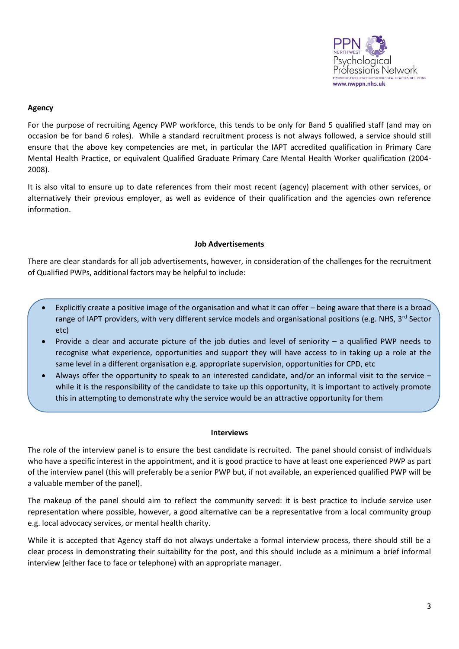

## **Agency**

For the purpose of recruiting Agency PWP workforce, this tends to be only for Band 5 qualified staff (and may on occasion be for band 6 roles). While a standard recruitment process is not always followed, a service should still ensure that the above key competencies are met, in particular the IAPT accredited qualification in Primary Care Mental Health Practice, or equivalent Qualified Graduate Primary Care Mental Health Worker qualification (2004- 2008).

It is also vital to ensure up to date references from their most recent (agency) placement with other services, or alternatively their previous employer, as well as evidence of their qualification and the agencies own reference information.

### **Job Advertisements**

There are clear standards for all job advertisements, however, in consideration of the challenges for the recruitment of Qualified PWPs, additional factors may be helpful to include:

- Explicitly create a positive image of the organisation and what it can offer being aware that there is a broad range of IAPT providers, with very different service models and organisational positions (e.g. NHS, 3<sup>rd</sup> Sector etc)
- Provide a clear and accurate picture of the job duties and level of seniority a qualified PWP needs to recognise what experience, opportunities and support they will have access to in taking up a role at the same level in a different organisation e.g. appropriate supervision, opportunities for CPD, etc
- Always offer the opportunity to speak to an interested candidate, and/or an informal visit to the service while it is the responsibility of the candidate to take up this opportunity, it is important to actively promote this in attempting to demonstrate why the service would be an attractive opportunity for them

### **Interviews**

The role of the interview panel is to ensure the best candidate is recruited. The panel should consist of individuals who have a specific interest in the appointment, and it is good practice to have at least one experienced PWP as part of the interview panel (this will preferably be a senior PWP but, if not available, an experienced qualified PWP will be a valuable member of the panel).

The makeup of the panel should aim to reflect the community served: it is best practice to include service user representation where possible, however, a good alternative can be a representative from a local community group e.g. local advocacy services, or mental health charity.

While it is accepted that Agency staff do not always undertake a formal interview process, there should still be a clear process in demonstrating their suitability for the post, and this should include as a minimum a brief informal interview (either face to face or telephone) with an appropriate manager.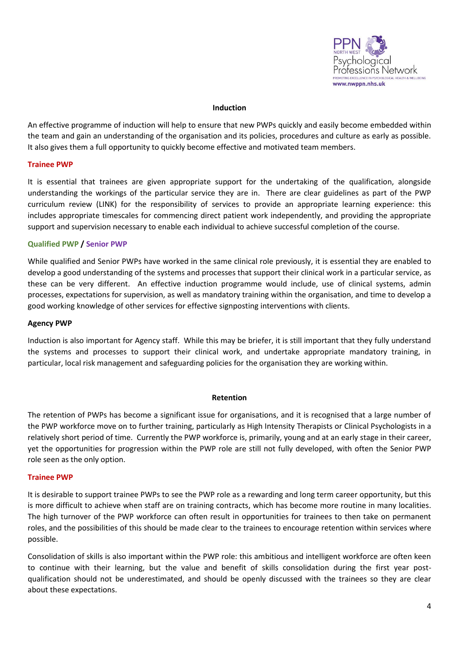

### **Induction**

An effective programme of induction will help to ensure that new PWPs quickly and easily become embedded within the team and gain an understanding of the organisation and its policies, procedures and culture as early as possible. It also gives them a full opportunity to quickly become effective and motivated team members.

### **Trainee PWP**

It is essential that trainees are given appropriate support for the undertaking of the qualification, alongside understanding the workings of the particular service they are in. There are clear guidelines as part of the PWP curriculum review (LINK) for the responsibility of services to provide an appropriate learning experience: this includes appropriate timescales for commencing direct patient work independently, and providing the appropriate support and supervision necessary to enable each individual to achieve successful completion of the course.

## **Qualified PWP / Senior PWP**

While qualified and Senior PWPs have worked in the same clinical role previously, it is essential they are enabled to develop a good understanding of the systems and processes that support their clinical work in a particular service, as these can be very different. An effective induction programme would include, use of clinical systems, admin processes, expectations for supervision, as well as mandatory training within the organisation, and time to develop a good working knowledge of other services for effective signposting interventions with clients.

### **Agency PWP**

Induction is also important for Agency staff. While this may be briefer, it is still important that they fully understand the systems and processes to support their clinical work, and undertake appropriate mandatory training, in particular, local risk management and safeguarding policies for the organisation they are working within.

### **Retention**

The retention of PWPs has become a significant issue for organisations, and it is recognised that a large number of the PWP workforce move on to further training, particularly as High Intensity Therapists or Clinical Psychologists in a relatively short period of time. Currently the PWP workforce is, primarily, young and at an early stage in their career, yet the opportunities for progression within the PWP role are still not fully developed, with often the Senior PWP role seen as the only option.

### **Trainee PWP**

It is desirable to support trainee PWPs to see the PWP role as a rewarding and long term career opportunity, but this is more difficult to achieve when staff are on training contracts, which has become more routine in many localities. The high turnover of the PWP workforce can often result in opportunities for trainees to then take on permanent roles, and the possibilities of this should be made clear to the trainees to encourage retention within services where possible.

Consolidation of skills is also important within the PWP role: this ambitious and intelligent workforce are often keen to continue with their learning, but the value and benefit of skills consolidation during the first year postqualification should not be underestimated, and should be openly discussed with the trainees so they are clear about these expectations.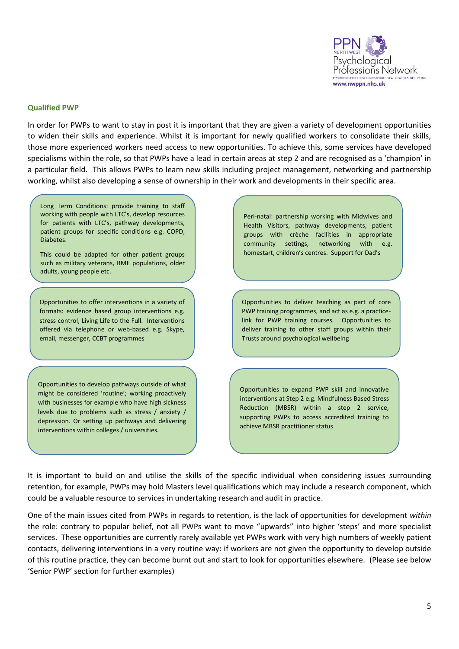

#### **Qualified PWP**

In order for PWPs to want to stay in post it is important that they are given a variety of development opportunities to widen their skills and experience. Whilst it is important for newly qualified workers to consolidate their skills, those more experienced workers need access to new opportunities. To achieve this, some services have developed specialisms within the role, so that PWPs have a lead in certain areas at step 2 and are recognised as a 'champion' in a particular field. This allows PWPs to learn new skills including project management, networking and partnership working, whilst also developing a sense of ownership in their work and developments in their specific area.

Long Term Conditions: provide training to staff working with people with LTC's, develop resources for patients with LTC's, pathway developments, patient groups for specific conditions e.g. COPD, Diabetes.

This could be adapted for other patient groups such as military veterans, BME populations, older adults, young people etc.

Opportunities to offer interventions in a variety of formats: evidence based group interventions e.g. stress control, Living Life to the Full. Interventions offered via telephone or web-based e.g. Skype, email, messenger, CCBT programmes

Opportunities to develop pathways outside of what might be considered 'routine'; working proactively with businesses for example who have high sickness levels due to problems such as stress / anxiety / depression. Or setting up pathways and delivering interventions within colleges / universities.

Peri-natal: partnership working with Midwives and Health Visitors, pathway developments, patient groups with crèche facilities in appropriate community settings, networking with e.g. homestart, children's centres. Support for Dad's

Opportunities to deliver teaching as part of core PWP training programmes, and act as e.g. a practicelink for PWP training courses. Opportunities to deliver training to other staff groups within their Trusts around psychological wellbeing

Opportunities to expand PWP skill and innovative interventions at Step 2 e.g. Mindfulness Based Stress Reduction (MBSR) within a step 2 service, supporting PWPs to access accredited training to achieve MBSR practitioner status

It is important to build on and utilise the skills of the specific individual when considering issues surrounding retention, for example, PWPs may hold Masters level qualifications which may include a research component, which could be a valuable resource to services in undertaking research and audit in practice.

One of the main issues cited from PWPs in regards to retention, is the lack of opportunities for development *within* the role: contrary to popular belief, not all PWPs want to move "upwards" into higher 'steps' and more specialist services. These opportunities are currently rarely available yet PWPs work with very high numbers of weekly patient contacts, delivering interventions in a very routine way: if workers are not given the opportunity to develop outside of this routine practice, they can become burnt out and start to look for opportunities elsewhere. (Please see below 'Senior PWP' section for further examples)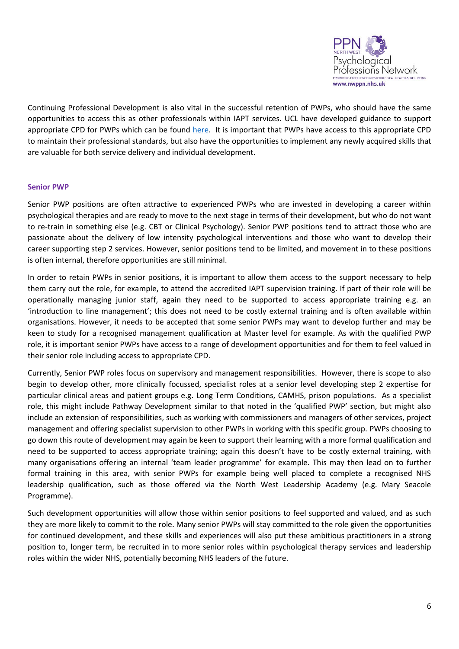

Continuing Professional Development is also vital in the successful retention of PWPs, who should have the same opportunities to access this as other professionals within IAPT services. UCL have developed guidance to support appropriate CPD for PWPs which can be found [here.](https://www.ucl.ac.uk/pwp-review) It is important that PWPs have access to this appropriate CPD to maintain their professional standards, but also have the opportunities to implement any newly acquired skills that are valuable for both service delivery and individual development.

## **Senior PWP**

Senior PWP positions are often attractive to experienced PWPs who are invested in developing a career within psychological therapies and are ready to move to the next stage in terms of their development, but who do not want to re-train in something else (e.g. CBT or Clinical Psychology). Senior PWP positions tend to attract those who are passionate about the delivery of low intensity psychological interventions and those who want to develop their career supporting step 2 services. However, senior positions tend to be limited, and movement in to these positions is often internal, therefore opportunities are still minimal.

In order to retain PWPs in senior positions, it is important to allow them access to the support necessary to help them carry out the role, for example, to attend the accredited IAPT supervision training. If part of their role will be operationally managing junior staff, again they need to be supported to access appropriate training e.g. an 'introduction to line management'; this does not need to be costly external training and is often available within organisations. However, it needs to be accepted that some senior PWPs may want to develop further and may be keen to study for a recognised management qualification at Master level for example. As with the qualified PWP role, it is important senior PWPs have access to a range of development opportunities and for them to feel valued in their senior role including access to appropriate CPD.

Currently, Senior PWP roles focus on supervisory and management responsibilities. However, there is scope to also begin to develop other, more clinically focussed, specialist roles at a senior level developing step 2 expertise for particular clinical areas and patient groups e.g. Long Term Conditions, CAMHS, prison populations. As a specialist role, this might include Pathway Development similar to that noted in the 'qualified PWP' section, but might also include an extension of responsibilities, such as working with commissioners and managers of other services, project management and offering specialist supervision to other PWPs in working with this specific group. PWPs choosing to go down this route of development may again be keen to support their learning with a more formal qualification and need to be supported to access appropriate training; again this doesn't have to be costly external training, with many organisations offering an internal 'team leader programme' for example. This may then lead on to further formal training in this area, with senior PWPs for example being well placed to complete a recognised NHS leadership qualification, such as those offered via the North West Leadership Academy (e.g. Mary Seacole Programme).

Such development opportunities will allow those within senior positions to feel supported and valued, and as such they are more likely to commit to the role. Many senior PWPs will stay committed to the role given the opportunities for continued development, and these skills and experiences will also put these ambitious practitioners in a strong position to, longer term, be recruited in to more senior roles within psychological therapy services and leadership roles within the wider NHS, potentially becoming NHS leaders of the future.